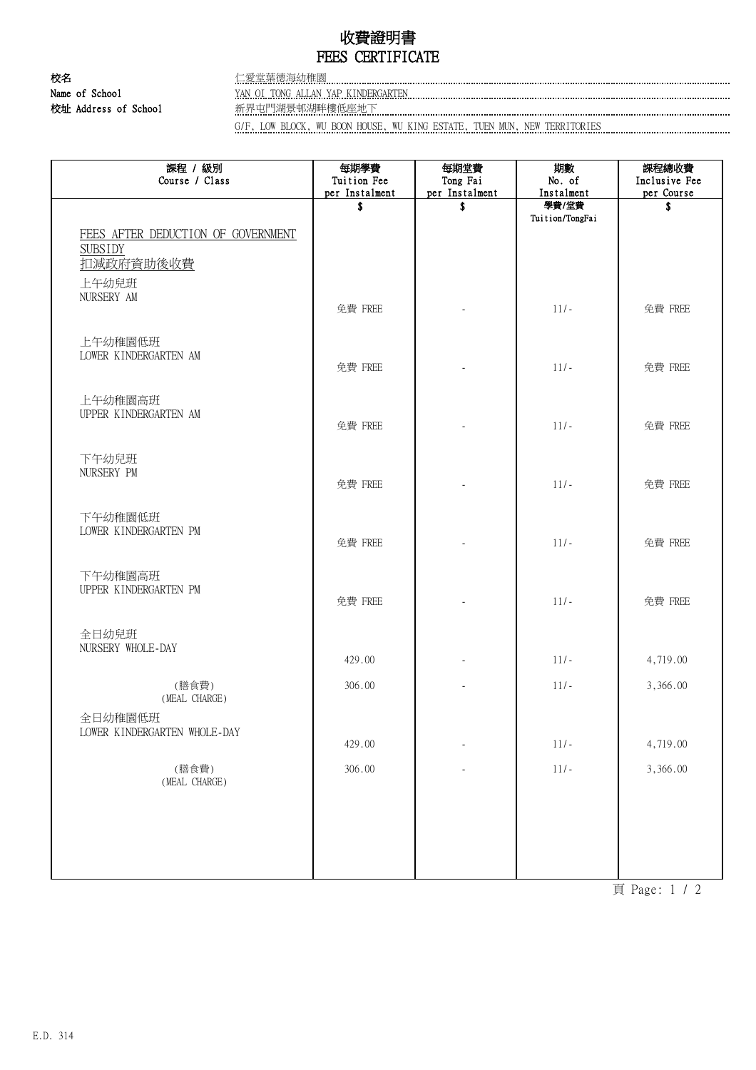## 收費證明書 FEES CERTIFICATE

校名 さんじょう こうしょう 仁愛堂葉徳海幼稚園 Name of School XAN OI TONG ALLAN YAP KINDERGARTEN 校址 Address of School 新界屯門湖景邨湖畔樓低座地下

G/F, LOW BLOCK, WU BOON HOUSE, WU KING ESTATE, TUEN MUN, NEW TERRITORIES

| 課程 / 級別<br>Course / Class                                                                 | 每期學費<br>Tuition Fee<br>per Instalment | 每期堂費<br>Tong Fai<br>per Instalment | 期數<br>No. of<br>Instalment | 課程總收費<br>Inclusive Fee<br>per Course |
|-------------------------------------------------------------------------------------------|---------------------------------------|------------------------------------|----------------------------|--------------------------------------|
|                                                                                           | \$                                    | \$                                 | 學費/堂費<br>Tuition/TongFai   | \$                                   |
| FEES AFTER DEDUCTION OF GOVERNMENT<br><b>SUBSIDY</b><br>扣減政府資助後收費<br>上午幼兒班                |                                       |                                    |                            |                                      |
| NURSERY AM                                                                                | 免費 FREE                               |                                    | $11/-$                     | 免費 FREE                              |
| 上午幼稚園低班<br>LOWER KINDERGARTEN AM                                                          | 免費 FREE                               |                                    | $11/-$                     | 免費 FREE                              |
| 上午幼稚園高班<br>UPPER KINDERGARTEN AM                                                          | 免費 FREE                               |                                    | $11/-$                     | 免費 FREE                              |
| 下午幼兒班<br>NURSERY PM                                                                       | 免費 FREE                               |                                    | $11/-$                     | 免費 FREE                              |
| 下午幼稚園低班<br>LOWER KINDERGARTEN PM                                                          | 免費 FREE                               |                                    | $11/-$                     | 免費 FREE                              |
| 下午幼稚園高班<br>UPPER KINDERGARTEN PM                                                          | 免費 FREE                               |                                    | $11/-$                     | 免費 FREE                              |
| 全日幼兒班<br>NURSERY WHOLE-DAY                                                                | 429.00                                |                                    | $11/-$                     | 4,719.00                             |
| (膳食費)                                                                                     | 306.00                                |                                    | $11/-$                     | 3,366.00                             |
| (MEAL CHARGE)<br>全日幼稚園低班<br>LOWER KINDERGARTEN WHOLE-DAY                                  |                                       |                                    |                            |                                      |
|                                                                                           | 429.00                                |                                    | $11/-$                     | 4,719.00                             |
| (膳食費)<br>$(\operatorname{\texttt{MEAL}}\nolimits\operatorname{\texttt{CHARGE}}\nolimits)$ | 306.00                                |                                    | $11/-$                     | 3,366.00                             |
|                                                                                           |                                       |                                    |                            |                                      |

頁 Page: 1 / 2